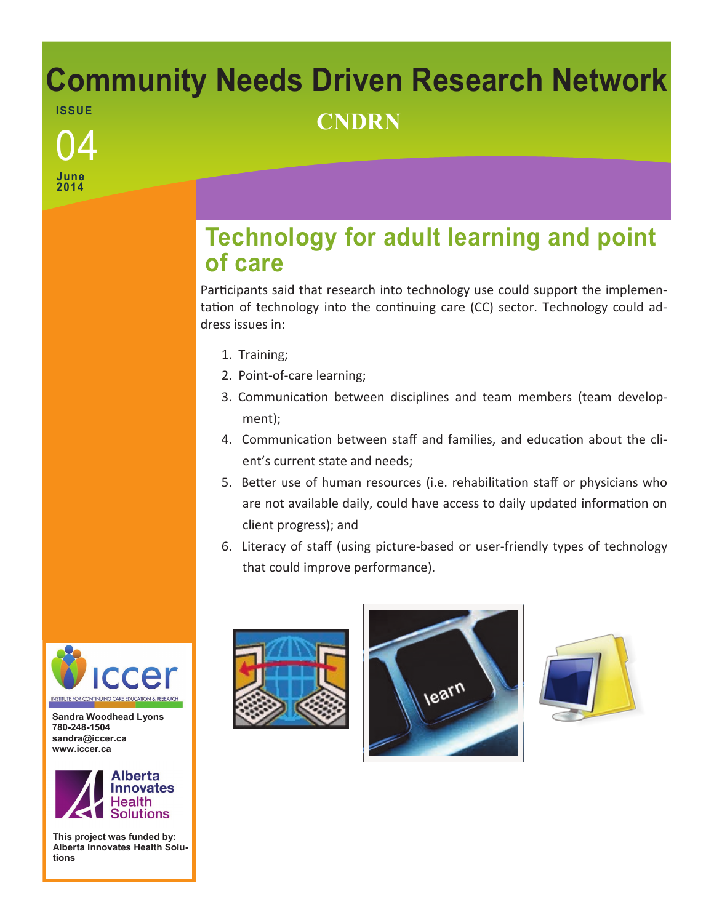## **Community Needs Driven Research Network ISSUE** <sup>04</sup> **CNDRN**

**June 2014**

## **Technology for adult learning and point of care**

Participants said that research into technology use could support the implementation of technology into the continuing care (CC) sector. Technology could address issues in:

- 1. Training;
- 2. Point-of-care learning;
- 3. Communication between disciplines and team members (team development);
- 4. Communication between staff and families, and education about the client's current state and needs;
- 5. Better use of human resources (i.e. rehabilitation staff or physicians who are not available daily, could have access to daily updated information on client progress); and
- 6. Literacy of staff (using picture-based or user-friendly types of technology that could improve performance).



**Sandra Woodhead Lyons 780-248-1504 sandra@iccer.ca www.iccer.ca** 



**This project was funded by: Alberta Innovates Health Solutions**